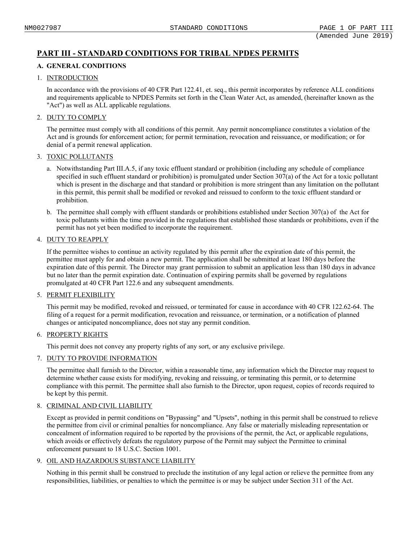# **PART III - STANDARD CONDITIONS FOR TRIBAL NPDES PERMITS**

# **A. GENERAL CONDITIONS**

# 1. INTRODUCTION

In accordance with the provisions of 40 CFR Part 122.41, et. seq., this permit incorporates by reference ALL conditions and requirements applicable to NPDES Permits set forth in the Clean Water Act, as amended, (hereinafter known as the "Act") as well as ALL applicable regulations.

# 2. DUTY TO COMPLY

The permittee must comply with all conditions of this permit. Any permit noncompliance constitutes a violation of the Act and is grounds for enforcement action; for permit termination, revocation and reissuance, or modification; or for denial of a permit renewal application.

# 3. TOXIC POLLUTANTS

- a. Notwithstanding Part III.A.5, if any toxic effluent standard or prohibition (including any schedule of compliance specified in such effluent standard or prohibition) is promulgated under Section 307(a) of the Act for a toxic pollutant which is present in the discharge and that standard or prohibition is more stringent than any limitation on the pollutant in this permit, this permit shall be modified or revoked and reissued to conform to the toxic effluent standard or prohibition.
- b. The permittee shall comply with effluent standards or prohibitions established under Section 307(a) of the Act for toxic pollutants within the time provided in the regulations that established those standards or prohibitions, even if the permit has not yet been modified to incorporate the requirement.

# 4. DUTY TO REAPPLY

If the permittee wishes to continue an activity regulated by this permit after the expiration date of this permit, the permittee must apply for and obtain a new permit. The application shall be submitted at least 180 days before the expiration date of this permit. The Director may grant permission to submit an application less than 180 days in advance but no later than the permit expiration date. Continuation of expiring permits shall be governed by regulations promulgated at 40 CFR Part 122.6 and any subsequent amendments.

### 5. PERMIT FLEXIBILITY

This permit may be modified, revoked and reissued, or terminated for cause in accordance with 40 CFR 122.62-64. The filing of a request for a permit modification, revocation and reissuance, or termination, or a notification of planned changes or anticipated noncompliance, does not stay any permit condition.

# 6. PROPERTY RIGHTS

This permit does not convey any property rights of any sort, or any exclusive privilege.

# 7. DUTY TO PROVIDE INFORMATION

The permittee shall furnish to the Director, within a reasonable time, any information which the Director may request to determine whether cause exists for modifying, revoking and reissuing, or terminating this permit, or to determine compliance with this permit. The permittee shall also furnish to the Director, upon request, copies of records required to be kept by this permit.

# 8. CRIMINAL AND CIVIL LIABILITY

Except as provided in permit conditions on "Bypassing" and "Upsets", nothing in this permit shall be construed to relieve the permittee from civil or criminal penalties for noncompliance. Any false or materially misleading representation or concealment of information required to be reported by the provisions of the permit, the Act, or applicable regulations, which avoids or effectively defeats the regulatory purpose of the Permit may subject the Permittee to criminal enforcement pursuant to 18 U.S.C. Section 1001.

# 9. OIL AND HAZARDOUS SUBSTANCE LIABILITY

Nothing in this permit shall be construed to preclude the institution of any legal action or relieve the permittee from any responsibilities, liabilities, or penalties to which the permittee is or may be subject under Section 311 of the Act.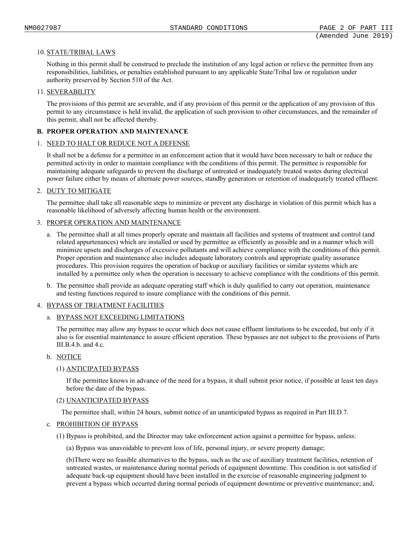# 10. STATE/TRIBAL LAWS

Nothing in this permit shall be construed to preclude the institution of any legal action or relieve the permittee from any responsibilities, liabilities, or penalties established pursuant to any applicable State/Tribal law or regulation under authority preserved by Section 510 of the Act.

# 11. SEVERABILITY

The provisions of this permit are severable, and if any provision of this permit or the application of any provision of this permit to any circumstance is held invalid, the application of such provision to other circumstances, and the remainder of this permit, shall not be affected thereby.

# **B. PROPER OPERATION AND MAINTENANCE**

### 1. NEED TO HALT OR REDUCE NOT A DEFENSE

It shall not be a defense for a permittee in an enforcement action that it would have been necessary to halt or reduce the permitted activity in order to maintain compliance with the conditions of this permit. The permittee is responsible for maintaining adequate safeguards to prevent the discharge of untreated or inadequately treated wastes during electrical power failure either by means of alternate power sources, standby generators or retention of inadequately treated effluent.

# 2. DUTY TO MITIGATE

The permittee shall take all reasonable steps to minimize or prevent any discharge in violation of this permit which has a reasonable likelihood of adversely affecting human health or the environment.

# 3. PROPER OPERATION AND MAINTENANCE

- a. The permittee shall at all times properly operate and maintain all facilities and systems of treatment and control (and related appurtenances) which are installed or used by permittee as efficiently as possible and in a manner which will minimize upsets and discharges of excessive pollutants and will achieve compliance with the conditions of this permit. Proper operation and maintenance also includes adequate laboratory controls and appropriate quality assurance procedures. This provision requires the operation of backup or auxiliary facilities or similar systems which are installed by a permittee only when the operation is necessary to achieve compliance with the conditions of this permit.
- b. The permittee shall provide an adequate operating staff which is duly qualified to carry out operation, maintenance and testing functions required to insure compliance with the conditions of this permit.

### 4. BYPASS OF TREATMENT FACILITIES

### a. BYPASS NOT EXCEEDING LIMITATIONS

The permittee may allow any bypass to occur which does not cause effluent limitations to be exceeded, but only if it also is for essential maintenance to assure efficient operation. These bypasses are not subject to the provisions of Parts III.B.4.b. and 4.c.

# b. NOTICE

### (1) ANTICIPATED BYPASS

If the permittee knows in advance of the need for a bypass, it shall submit prior notice, if possible at least ten days before the date of the bypass.

### (2) UNANTICIPATED BYPASS

The permittee shall, within 24 hours, submit notice of an unanticipated bypass as required in Part III.D.7.

### c. PROHIBITION OF BYPASS

(1) Bypass is prohibited, and the Director may take enforcement action against a permittee for bypass, unless:

(a) Bypass was unavoidable to prevent loss of life, personal injury, or severe property damage;

(b)There were no feasible alternatives to the bypass, such as the use of auxiliary treatment facilities, retention of untreated wastes, or maintenance during normal periods of equipment downtime. This condition is not satisfied if adequate back-up equipment should have been installed in the exercise of reasonable engineering judgment to prevent a bypass which occurred during normal periods of equipment downtime or preventive maintenance; and,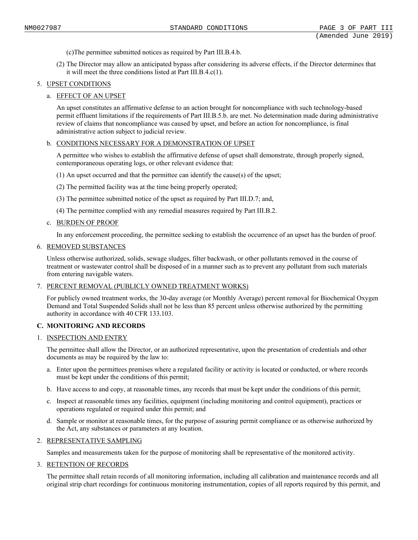- (c)The permittee submitted notices as required by Part III.B.4.b.
- (2) The Director may allow an anticipated bypass after considering its adverse effects, if the Director determines that it will meet the three conditions listed at Part III.B.4.c(1).

# 5. UPSET CONDITIONS

# a. EFFECT OF AN UPSET

An upset constitutes an affirmative defense to an action brought for noncompliance with such technology-based permit effluent limitations if the requirements of Part III.B.5.b. are met. No determination made during administrative review of claims that noncompliance was caused by upset, and before an action for noncompliance, is final administrative action subject to judicial review.

### b. CONDITIONS NECESSARY FOR A DEMONSTRATION OF UPSET

A permittee who wishes to establish the affirmative defense of upset shall demonstrate, through properly signed, contemporaneous operating logs, or other relevant evidence that:

- (1) An upset occurred and that the permittee can identify the cause(s) of the upset;
- (2) The permitted facility was at the time being properly operated;
- (3) The permittee submitted notice of the upset as required by Part III.D.7; and,
- (4) The permittee complied with any remedial measures required by Part III.B.2.

### c. BURDEN OF PROOF

In any enforcement proceeding, the permittee seeking to establish the occurrence of an upset has the burden of proof.

#### 6. REMOVED SUBSTANCES

Unless otherwise authorized, solids, sewage sludges, filter backwash, or other pollutants removed in the course of treatment or wastewater control shall be disposed of in a manner such as to prevent any pollutant from such materials from entering navigable waters.

### 7. PERCENT REMOVAL (PUBLICLY OWNED TREATMENT WORKS)

For publicly owned treatment works, the 30-day average (or Monthly Average) percent removal for Biochemical Oxygen Demand and Total Suspended Solids shall not be less than 85 percent unless otherwise authorized by the permitting authority in accordance with 40 CFR 133.103.

### **C. MONITORING AND RECORDS**

### 1. INSPECTION AND ENTRY

The permittee shall allow the Director, or an authorized representative, upon the presentation of credentials and other documents as may be required by the law to:

- a. Enter upon the permittees premises where a regulated facility or activity is located or conducted, or where records must be kept under the conditions of this permit;
- b. Have access to and copy, at reasonable times, any records that must be kept under the conditions of this permit;
- c. Inspect at reasonable times any facilities, equipment (including monitoring and control equipment), practices or operations regulated or required under this permit; and
- d. Sample or monitor at reasonable times, for the purpose of assuring permit compliance or as otherwise authorized by the Act, any substances or parameters at any location.

### 2. REPRESENTATIVE SAMPLING

Samples and measurements taken for the purpose of monitoring shall be representative of the monitored activity.

### 3. RETENTION OF RECORDS

The permittee shall retain records of all monitoring information, including all calibration and maintenance records and all original strip chart recordings for continuous monitoring instrumentation, copies of all reports required by this permit, and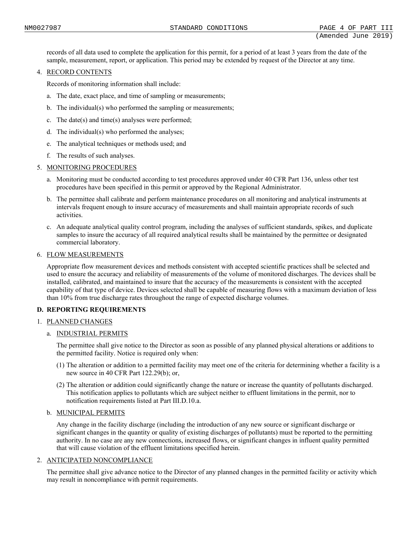records of all data used to complete the application for this permit, for a period of at least 3 years from the date of the sample, measurement, report, or application. This period may be extended by request of the Director at any time.

# 4. RECORD CONTENTS

Records of monitoring information shall include:

- a. The date, exact place, and time of sampling or measurements;
- b. The individual(s) who performed the sampling or measurements;
- c. The date(s) and time(s) analyses were performed;
- d. The individual(s) who performed the analyses;
- e. The analytical techniques or methods used; and
- f. The results of such analyses.
- 5. MONITORING PROCEDURES
	- a. Monitoring must be conducted according to test procedures approved under 40 CFR Part 136, unless other test procedures have been specified in this permit or approved by the Regional Administrator.
	- b. The permittee shall calibrate and perform maintenance procedures on all monitoring and analytical instruments at intervals frequent enough to insure accuracy of measurements and shall maintain appropriate records of such activities.
	- c. An adequate analytical quality control program, including the analyses of sufficient standards, spikes, and duplicate samples to insure the accuracy of all required analytical results shall be maintained by the permittee or designated commercial laboratory.

### 6. FLOW MEASUREMENTS

Appropriate flow measurement devices and methods consistent with accepted scientific practices shall be selected and used to ensure the accuracy and reliability of measurements of the volume of monitored discharges. The devices shall be installed, calibrated, and maintained to insure that the accuracy of the measurements is consistent with the accepted capability of that type of device. Devices selected shall be capable of measuring flows with a maximum deviation of less than 10% from true discharge rates throughout the range of expected discharge volumes.

# **D. REPORTING REQUIREMENTS**

# 1. PLANNED CHANGES

### a. INDUSTRIAL PERMITS

The permittee shall give notice to the Director as soon as possible of any planned physical alterations or additions to the permitted facility. Notice is required only when:

- (1) The alteration or addition to a permitted facility may meet one of the criteria for determining whether a facility is a new source in 40 CFR Part 122.29(b); or,
- (2) The alteration or addition could significantly change the nature or increase the quantity of pollutants discharged. This notification applies to pollutants which are subject neither to effluent limitations in the permit, nor to notification requirements listed at Part III.D.10.a.

# b. MUNICIPAL PERMITS

Any change in the facility discharge (including the introduction of any new source or significant discharge or significant changes in the quantity or quality of existing discharges of pollutants) must be reported to the permitting authority. In no case are any new connections, increased flows, or significant changes in influent quality permitted that will cause violation of the effluent limitations specified herein.

### 2. ANTICIPATED NONCOMPLIANCE

The permittee shall give advance notice to the Director of any planned changes in the permitted facility or activity which may result in noncompliance with permit requirements.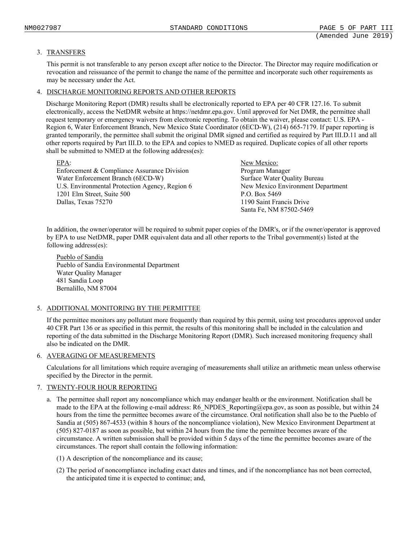# 3. TRANSFERS

This permit is not transferable to any person except after notice to the Director. The Director may require modification or revocation and reissuance of the permit to change the name of the permittee and incorporate such other requirements as may be necessary under the Act.

# 4. DISCHARGE MONITORING REPORTS AND OTHER REPORTS

Discharge Monitoring Report (DMR) results shall be electronically reported to EPA per 40 CFR 127.16. To submit electronically, access the NetDMR website at https://netdmr.epa.gov. Until approved for Net DMR, the permittee shall request temporary or emergency waivers from electronic reporting. To obtain the waiver, please contact: U.S. EPA - Region 6, Water Enforcement Branch, New Mexico State Coordinator (6ECD-W), (214) 665-7179. If paper reporting is granted temporarily, the permittee shall submit the original DMR signed and certified as required by Part III.D.11 and all other reports required by Part III.D. to the EPA and copies to NMED as required. Duplicate copies of all other reports shall be submitted to NMED at the following address(es):

| $EPA$ :                                        | New Mexico:                       |
|------------------------------------------------|-----------------------------------|
| Enforcement & Compliance Assurance Division    | Program Manager                   |
| Water Enforcement Branch (6ECD-W)              | Surface Water Quality Bureau      |
| U.S. Environmental Protection Agency, Region 6 | New Mexico Environment Department |
| 1201 Elm Street, Suite 500                     | P.O. Box 5469                     |
| Dallas, Texas 75270                            | 1190 Saint Francis Drive          |
|                                                | Santa Fe, NM 87502-5469           |

In addition, the owner/operator will be required to submit paper copies of the DMR's, or if the owner/operator is approved by EPA to use NetDMR, paper DMR equivalent data and all other reports to the Tribal government(s) listed at the following address(es):

Pueblo of Sandia Pueblo of Sandia Environmental Department Water Quality Manager 481 Sandia Loop Bernalillo, NM 87004

# 5. ADDITIONAL MONITORING BY THE PERMITTEE

If the permittee monitors any pollutant more frequently than required by this permit, using test procedures approved under 40 CFR Part 136 or as specified in this permit, the results of this monitoring shall be included in the calculation and reporting of the data submitted in the Discharge Monitoring Report (DMR). Such increased monitoring frequency shall also be indicated on the DMR.

# 6. AVERAGING OF MEASUREMENTS

Calculations for all limitations which require averaging of measurements shall utilize an arithmetic mean unless otherwise specified by the Director in the permit.

### 7. TWENTY-FOUR HOUR REPORTING

- a. The permittee shall report any noncompliance which may endanger health or the environment. Notification shall be made to the EPA at the following e-mail address: R6\_NPDES\_Reporting@epa.gov, as soon as possible, but within 24 hours from the time the permittee becomes aware of the circumstance. Oral notification shall also be to the Pueblo of Sandia at (505) 867-4533 (within 8 hours of the noncompliance violation), New Mexico Environment Department at (505) 827-0187 as soon as possible, but within 24 hours from the time the permittee becomes aware of the circumstance. A written submission shall be provided within 5 days of the time the permittee becomes aware of the circumstances. The report shall contain the following information:
	- (1) A description of the noncompliance and its cause;
	- (2) The period of noncompliance including exact dates and times, and if the noncompliance has not been corrected, the anticipated time it is expected to continue; and,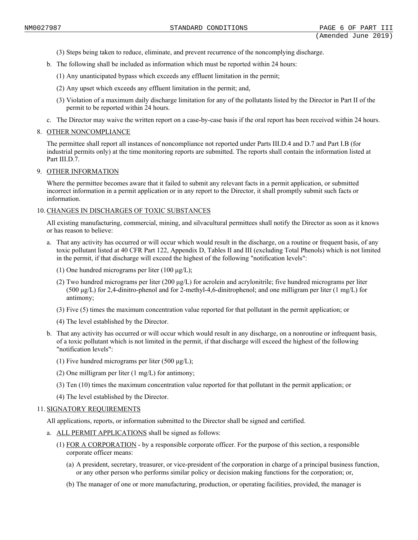- (3) Steps being taken to reduce, eliminate, and prevent recurrence of the noncomplying discharge.
- b. The following shall be included as information which must be reported within 24 hours:
	- (1) Any unanticipated bypass which exceeds any effluent limitation in the permit;
	- (2) Any upset which exceeds any effluent limitation in the permit; and,
	- (3) Violation of a maximum daily discharge limitation for any of the pollutants listed by the Director in Part II of the permit to be reported within 24 hours.
- c. The Director may waive the written report on a case-by-case basis if the oral report has been received within 24 hours.

### 8. OTHER NONCOMPLIANCE

The permittee shall report all instances of noncompliance not reported under Parts III.D.4 and D.7 and Part I.B (for industrial permits only) at the time monitoring reports are submitted. The reports shall contain the information listed at Part III.D.7.

### 9. OTHER INFORMATION

Where the permittee becomes aware that it failed to submit any relevant facts in a permit application, or submitted incorrect information in a permit application or in any report to the Director, it shall promptly submit such facts or information.

### 10. CHANGES IN DISCHARGES OF TOXIC SUBSTANCES

All existing manufacturing, commercial, mining, and silvacultural permittees shall notify the Director as soon as it knows or has reason to believe:

- a. That any activity has occurred or will occur which would result in the discharge, on a routine or frequent basis, of any toxic pollutant listed at 40 CFR Part 122, Appendix D, Tables II and III (excluding Total Phenols) which is not limited in the permit, if that discharge will exceed the highest of the following "notification levels":
	- (1) One hundred micrograms per liter  $(100 \mu g/L)$ ;
	- (2) Two hundred micrograms per liter (200  $\mu$ g/L) for acrolein and acrylonitrile; five hundred micrograms per liter (500 μg/L) for 2,4-dinitro-phenol and for 2-methyl-4,6-dinitrophenol; and one milligram per liter (1 mg/L) for antimony;
	- (3) Five (5) times the maximum concentration value reported for that pollutant in the permit application; or
	- (4) The level established by the Director.
- b. That any activity has occurred or will occur which would result in any discharge, on a nonroutine or infrequent basis, of a toxic pollutant which is not limited in the permit, if that discharge will exceed the highest of the following "notification levels":
	- (1) Five hundred micrograms per liter (500  $\mu$ g/L);
	- (2) One milligram per liter (1 mg/L) for antimony;
	- (3) Ten (10) times the maximum concentration value reported for that pollutant in the permit application; or
	- (4) The level established by the Director.

### 11. SIGNATORY REQUIREMENTS

All applications, reports, or information submitted to the Director shall be signed and certified.

- a. ALL PERMIT APPLICATIONS shall be signed as follows:
	- (1) FOR A CORPORATION by a responsible corporate officer. For the purpose of this section, a responsible corporate officer means:
		- (a) A president, secretary, treasurer, or vice-president of the corporation in charge of a principal business function, or any other person who performs similar policy or decision making functions for the corporation; or,
		- (b) The manager of one or more manufacturing, production, or operating facilities, provided, the manager is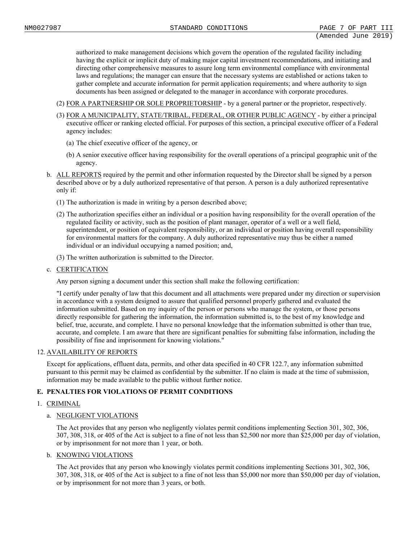authorized to make management decisions which govern the operation of the regulated facility including having the explicit or implicit duty of making major capital investment recommendations, and initiating and directing other comprehensive measures to assure long term environmental compliance with environmental laws and regulations; the manager can ensure that the necessary systems are established or actions taken to gather complete and accurate information for permit application requirements; and where authority to sign documents has been assigned or delegated to the manager in accordance with corporate procedures.

- (2) FOR A PARTNERSHIP OR SOLE PROPRIETORSHIP by a general partner or the proprietor, respectively.
- (3) FOR A MUNICIPALITY, STATE/TRIBAL, FEDERAL, OR OTHER PUBLIC AGENCY by either a principal executive officer or ranking elected official. For purposes of this section, a principal executive officer of a Federal agency includes:
	- (a) The chief executive officer of the agency, or
	- (b) A senior executive officer having responsibility for the overall operations of a principal geographic unit of the agency.
- b. ALL REPORTS required by the permit and other information requested by the Director shall be signed by a person described above or by a duly authorized representative of that person. A person is a duly authorized representative only if:
	- (1) The authorization is made in writing by a person described above;
	- (2) The authorization specifies either an individual or a position having responsibility for the overall operation of the regulated facility or activity, such as the position of plant manager, operator of a well or a well field, superintendent, or position of equivalent responsibility, or an individual or position having overall responsibility for environmental matters for the company. A duly authorized representative may thus be either a named individual or an individual occupying a named position; and,
	- (3) The written authorization is submitted to the Director.
- c. CERTIFICATION

Any person signing a document under this section shall make the following certification:

"I certify under penalty of law that this document and all attachments were prepared under my direction or supervision in accordance with a system designed to assure that qualified personnel properly gathered and evaluated the information submitted. Based on my inquiry of the person or persons who manage the system, or those persons directly responsible for gathering the information, the information submitted is, to the best of my knowledge and belief, true, accurate, and complete. I have no personal knowledge that the information submitted is other than true, accurate, and complete. I am aware that there are significant penalties for submitting false information, including the possibility of fine and imprisonment for knowing violations."

# 12. AVAILABILITY OF REPORTS

Except for applications, effluent data, permits, and other data specified in 40 CFR 122.7, any information submitted pursuant to this permit may be claimed as confidential by the submitter. If no claim is made at the time of submission, information may be made available to the public without further notice.

# **E. PENALTIES FOR VIOLATIONS OF PERMIT CONDITIONS**

# 1. CRIMINAL

# a. NEGLIGENT VIOLATIONS

The Act provides that any person who negligently violates permit conditions implementing Section 301, 302, 306, 307, 308, 318, or 405 of the Act is subject to a fine of not less than \$2,500 nor more than \$25,000 per day of violation, or by imprisonment for not more than 1 year, or both.

### b. KNOWING VIOLATIONS

The Act provides that any person who knowingly violates permit conditions implementing Sections 301, 302, 306, 307, 308, 318, or 405 of the Act is subject to a fine of not less than \$5,000 nor more than \$50,000 per day of violation, or by imprisonment for not more than 3 years, or both.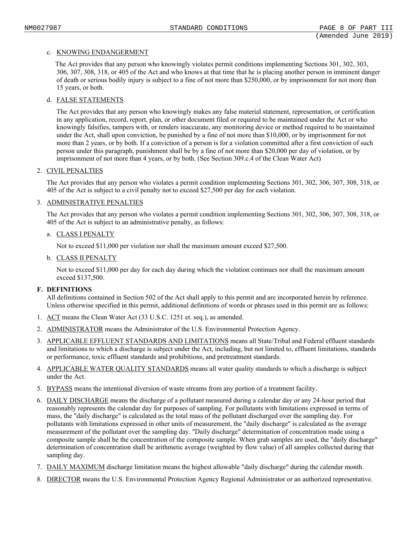# c. KNOWING ENDANGERMENT

The Act provides that any person who knowingly violates permit conditions implementing Sections 301, 302, 303, 306, 307, 308, 318, or 405 of the Act and who knows at that time that he is placing another person in imminent danger of death or serious bodily injury is subject to a fine of not more than \$250,000, or by imprisonment for not more than 15 years, or both.

# d. FALSE STATEMENTS

The Act provides that any person who knowingly makes any false material statement, representation, or certification in any application, record, report, plan, or other document filed or required to be maintained under the Act or who knowingly falsifies, tampers with, or renders inaccurate, any monitoring device or method required to be maintained under the Act, shall upon conviction, be punished by a fine of not more than \$10,000, or by imprisonment for not more than 2 years, or by both. If a conviction of a person is for a violation committed after a first conviction of such person under this paragraph, punishment shall be by a fine of not more than \$20,000 per day of violation, or by imprisonment of not more than 4 years, or by both. (See Section 309.c.4 of the Clean Water Act)

### 2. CIVIL PENALTIES

The Act provides that any person who violates a permit condition implementing Sections 301, 302, 306, 307, 308, 318, or 405 of the Act is subject to a civil penalty not to exceed \$27,500 per day for each violation.

# 3. ADMINISTRATIVE PENALTIES

The Act provides that any person who violates a permit condition implementing Sections 301, 302, 306, 307, 308, 318, or 405 of the Act is subject to an administrative penalty, as follows:

### a. CLASS I PENALTY

Not to exceed \$11,000 per violation nor shall the maximum amount exceed \$27,500.

# b. CLASS II PENALTY

Not to exceed \$11,000 per day for each day during which the violation continues nor shall the maximum amount exceed \$137,500.

### **F. DEFINITIONS**

All definitions contained in Section 502 of the Act shall apply to this permit and are incorporated herein by reference. Unless otherwise specified in this permit, additional definitions of words or phrases used in this permit are as follows:

- 1. ACT means the Clean Water Act (33 U.S.C. 1251 et. seq.), as amended.
- 2. ADMINISTRATOR means the Administrator of the U.S. Environmental Protection Agency.
- 3. APPLICABLE EFFLUENT STANDARDS AND LIMITATIONS means all State/Tribal and Federal effluent standards and limitations to which a discharge is subject under the Act, including, but not limited to, effluent limitations, standards or performance, toxic effluent standards and prohibitions, and pretreatment standards.
- 4. APPLICABLE WATER QUALITY STANDARDS means all water quality standards to which a discharge is subject under the Act.
- 5. BYPASS means the intentional diversion of waste streams from any portion of a treatment facility.
- 6. DAILY DISCHARGE means the discharge of a pollutant measured during a calendar day or any 24-hour period that reasonably represents the calendar day for purposes of sampling. For pollutants with limitations expressed in terms of mass, the "daily discharge" is calculated as the total mass of the pollutant discharged over the sampling day. For pollutants with limitations expressed in other units of measurement, the "daily discharge" is calculated as the average measurement of the pollutant over the sampling day. "Daily discharge" determination of concentration made using a composite sample shall be the concentration of the composite sample. When grab samples are used, the "daily discharge" determination of concentration shall be arithmetic average (weighted by flow value) of all samples collected during that sampling day.
- 7. DAILY MAXIMUM discharge limitation means the highest allowable "daily discharge" during the calendar month.
- 8. DIRECTOR means the U.S. Environmental Protection Agency Regional Administrator or an authorized representative.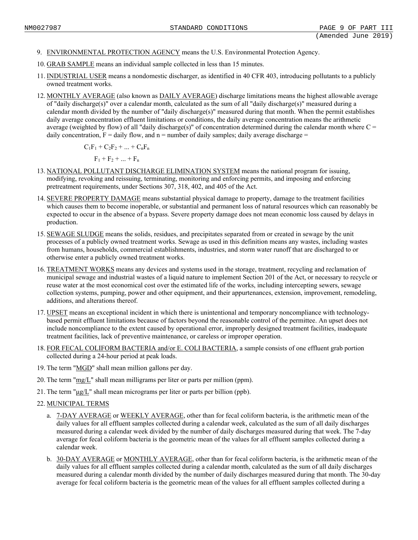- 9. ENVIRONMENTAL PROTECTION AGENCY means the U.S. Environmental Protection Agency.
- 10. GRAB SAMPLE means an individual sample collected in less than 15 minutes.
- 11. INDUSTRIAL USER means a nondomestic discharger, as identified in 40 CFR 403, introducing pollutants to a publicly owned treatment works.
- 12. MONTHLY AVERAGE (also known as DAILY AVERAGE) discharge limitations means the highest allowable average of "daily discharge(s)" over a calendar month, calculated as the sum of all "daily discharge(s)" measured during a calendar month divided by the number of "daily discharge(s)" measured during that month. When the permit establishes daily average concentration effluent limitations or conditions, the daily average concentration means the arithmetic average (weighted by flow) of all "daily discharge(s)" of concentration determined during the calendar month where  $C =$ daily concentration,  $F =$  daily flow, and  $n =$  number of daily samples; daily average discharge =

 $C_1F_1 + C_2F_2 + ... + C_nF_n$ 

 $F_1 + F_2 + ... + F_n$ 

- 13. NATIONAL POLLUTANT DISCHARGE ELIMINATION SYSTEM means the national program for issuing, modifying, revoking and reissuing, terminating, monitoring and enforcing permits, and imposing and enforcing pretreatment requirements, under Sections 307, 318, 402, and 405 of the Act.
- 14. SEVERE PROPERTY DAMAGE means substantial physical damage to property, damage to the treatment facilities which causes them to become inoperable, or substantial and permanent loss of natural resources which can reasonably be expected to occur in the absence of a bypass. Severe property damage does not mean economic loss caused by delays in production.
- 15. SEWAGE SLUDGE means the solids, residues, and precipitates separated from or created in sewage by the unit processes of a publicly owned treatment works. Sewage as used in this definition means any wastes, including wastes from humans, households, commercial establishments, industries, and storm water runoff that are discharged to or otherwise enter a publicly owned treatment works.
- 16. TREATMENT WORKS means any devices and systems used in the storage, treatment, recycling and reclamation of municipal sewage and industrial wastes of a liquid nature to implement Section 201 of the Act, or necessary to recycle or reuse water at the most economical cost over the estimated life of the works, including intercepting sewers, sewage collection systems, pumping, power and other equipment, and their appurtenances, extension, improvement, remodeling, additions, and alterations thereof.
- 17. UPSET means an exceptional incident in which there is unintentional and temporary noncompliance with technologybased permit effluent limitations because of factors beyond the reasonable control of the permittee. An upset does not include noncompliance to the extent caused by operational error, improperly designed treatment facilities, inadequate treatment facilities, lack of preventive maintenance, or careless or improper operation.
- 18. FOR FECAL COLIFORM BACTERIA and/or E. COLI BACTERIA, a sample consists of one effluent grab portion collected during a 24-hour period at peak loads.
- 19. The term "MGD" shall mean million gallons per day.
- 20. The term "mg/L" shall mean milligrams per liter or parts per million (ppm).
- 21. The term " $\mu$ g/L" shall mean micrograms per liter or parts per billion (ppb).
- 22. MUNICIPAL TERMS
	- a. 7-DAY AVERAGE or WEEKLY AVERAGE, other than for fecal coliform bacteria, is the arithmetic mean of the daily values for all effluent samples collected during a calendar week, calculated as the sum of all daily discharges measured during a calendar week divided by the number of daily discharges measured during that week. The 7-day average for fecal coliform bacteria is the geometric mean of the values for all effluent samples collected during a calendar week.
	- b. 30-DAY AVERAGE or MONTHLY AVERAGE, other than for fecal coliform bacteria, is the arithmetic mean of the daily values for all effluent samples collected during a calendar month, calculated as the sum of all daily discharges measured during a calendar month divided by the number of daily discharges measured during that month. The 30-day average for fecal coliform bacteria is the geometric mean of the values for all effluent samples collected during a